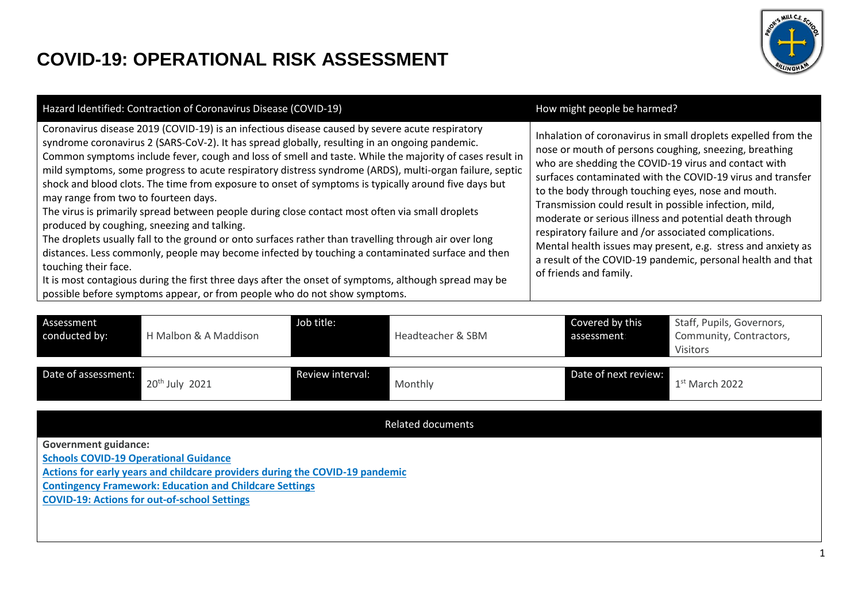

| Hazard Identified: Contraction of Coronavirus Disease (COVID-19)                                                                                                                                                                                                                                                                                                                                                                                                                                                                                                                                                                                                                                                                                                                                                                                                                                                                                                                                                                                                                                                                                     | How might people be harmed?                                                                                                                                                                                                                                                                                                                                                                                                                                                                                                                                                                                                                |
|------------------------------------------------------------------------------------------------------------------------------------------------------------------------------------------------------------------------------------------------------------------------------------------------------------------------------------------------------------------------------------------------------------------------------------------------------------------------------------------------------------------------------------------------------------------------------------------------------------------------------------------------------------------------------------------------------------------------------------------------------------------------------------------------------------------------------------------------------------------------------------------------------------------------------------------------------------------------------------------------------------------------------------------------------------------------------------------------------------------------------------------------------|--------------------------------------------------------------------------------------------------------------------------------------------------------------------------------------------------------------------------------------------------------------------------------------------------------------------------------------------------------------------------------------------------------------------------------------------------------------------------------------------------------------------------------------------------------------------------------------------------------------------------------------------|
| Coronavirus disease 2019 (COVID-19) is an infectious disease caused by severe acute respiratory<br>syndrome coronavirus 2 (SARS-CoV-2). It has spread globally, resulting in an ongoing pandemic.<br>Common symptoms include fever, cough and loss of smell and taste. While the majority of cases result in<br>mild symptoms, some progress to acute respiratory distress syndrome (ARDS), multi-organ failure, septic<br>shock and blood clots. The time from exposure to onset of symptoms is typically around five days but<br>may range from two to fourteen days.<br>The virus is primarily spread between people during close contact most often via small droplets<br>produced by coughing, sneezing and talking.<br>The droplets usually fall to the ground or onto surfaces rather than travelling through air over long<br>distances. Less commonly, people may become infected by touching a contaminated surface and then<br>touching their face.<br>It is most contagious during the first three days after the onset of symptoms, although spread may be<br>possible before symptoms appear, or from people who do not show symptoms. | Inhalation of coronavirus in small droplets expelled from the<br>nose or mouth of persons coughing, sneezing, breathing<br>who are shedding the COVID-19 virus and contact with<br>surfaces contaminated with the COVID-19 virus and transfer<br>to the body through touching eyes, nose and mouth.<br>Transmission could result in possible infection, mild,<br>moderate or serious illness and potential death through<br>respiratory failure and /or associated complications.<br>Mental health issues may present, e.g. stress and anxiety as<br>a result of the COVID-19 pandemic, personal health and that<br>of friends and family. |

| Assessment<br>conducted by: | H Malbon & A Maddison      | Job title:       | Headteacher & SBM | Covered by this<br>assessment | Staff, Pupils, Governors,<br>Community, Contractors,<br>Visitors |
|-----------------------------|----------------------------|------------------|-------------------|-------------------------------|------------------------------------------------------------------|
| Date of assessment:         | 20 <sup>th</sup> July 2021 | Review interval: | Monthly           | Date of next review:          | $1st$ March 2022                                                 |

| <b>Related documents</b>                                                     |
|------------------------------------------------------------------------------|
| <b>Government guidance:</b>                                                  |
| <b>Schools COVID-19 Operational Guidance</b>                                 |
| Actions for early years and childcare providers during the COVID-19 pandemic |
| <b>Contingency Framework: Education and Childcare Settings</b>               |
| <b>COVID-19: Actions for out-of-school Settings</b>                          |
|                                                                              |
|                                                                              |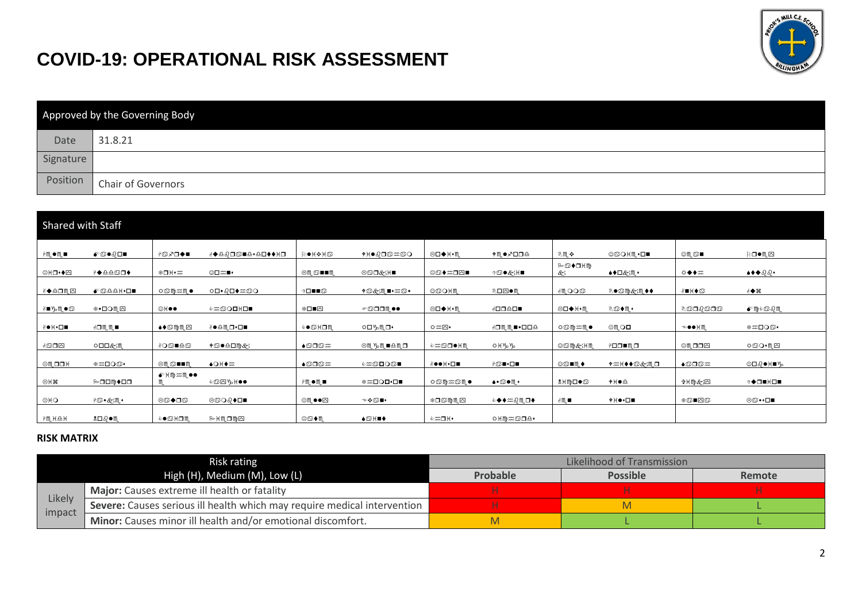

| Approved by the Governing Body |                    |  |  |  |  |  |  |
|--------------------------------|--------------------|--|--|--|--|--|--|
| Date                           | 31.8.21            |  |  |  |  |  |  |
| Signature                      |                    |  |  |  |  |  |  |
| Position                       | Chair of Governors |  |  |  |  |  |  |

| <b>Shared with Staff</b> |                   |          |                                            |                  |                                          |                      |                              |               |            |                      |                 |
|--------------------------|-------------------|----------|--------------------------------------------|------------------|------------------------------------------|----------------------|------------------------------|---------------|------------|----------------------|-----------------|
| ₽M∙M∎                    | ∙ு•ி⊐∎            | ∤©∛⊡♦∎   | ∛♦≏0□♋◼ <del>▫</del> •≏□♦♦) <del>(</del> □ | POK❖HO           | †⊁●∂⊡© <i>ಮ</i> ©⊙                       | ©□◆ <del>)(</del> •m | இ⊪⊶™                         | રા∭∻          | ☺♋◑หڪ▬     | ©௱ௐ∎                 | po•m⊡           |
| © <del>H</del> d•♦⊠      | ಕ್ಕಿಕ್ತಾಂ⊔♦       | 參□米◆器    | ©□ <i>∞</i> ■•                             | ®M…∞∎m           | මිනි⊡ිරා ි                               | ☺♋♦ <i>☜</i> ◘⊠∎     | ு⊙•&;)(∎                     | P-SI†M)<br>&, | (♦●□       | ⊙◆◆需                 | ∔♦♦ <i>ର୍⊗∙</i> |
| ∛✦≏⊐M.⊡                  | ேு சு⊬∙ப∎         | ● @⊠ا∞ت⊙ | ೦⊡•∂⊡♦ು ಾ⊙                                 | ி∎∎ை             | †♋ِ≪∭∎• <i></i>                          | ©තo*M                | \$□⊠●M                       | ∛M OOත        | ∖●SM&M◆◆   | ತಿ∎⊬ ಮ               | ง่♦ж            |
| ∛∎∿M∙⊙                   | *∙⊡OM.⊡           |          | NHO⊙≋∞                                     | † ⊡∎⊠            | ☞♋◻◻▥◕◕                                  | ©□◆ <del>)(</del> •m | ∛□□≏□■                       |               | ೩ಿ⊙♦M.•    | ೩೦⊡೧ಿ೦⊡ಾ             | ை™ைவா           |
| ∛●)€◆□■                  | domm∎             | (♦●⊙™™   | ∛●≏♏◻•◻◼                                   | ◈●♋ <b>)</b> (□M | ∙⊓∿™                                     | ≎ <i>ಙ⊠</i> ∙        | ∉□MM■•□□≏                    | ≎ುಾ™ು™        | இ≬்ப       | ☜●●∺∭                | ತಿಙ⊡೦೨್•        |
| ∤್⊓⊠                     | <b>○□□☆</b> ∭     | ∛೦೮∎೭೮   | †ை <b>ு</b> ⊡™&                            | ∔ಾ⊓ಾ≋            | ⊚ՠչոա∎≏ՠп                                | ತಿ‱ත⊡●HM             | ≎⊬ዄዄ                         | ©SM&KM        | ₽□□■M□     | ⊝MOO⊠                | ಾ∭∙©ಾ           |
| ©MOOX                    | ಿ *⊡೦೨            | ®M©■■M   | $\bullet$ O $\ast$ $\ast$                  | (∕ಾ⊡ಾ            | ೬ಙಙ⊡೦ಙ∎                                  | ∛●●)⊖←□■             | ∤S∎∙o∎                       | ©S■M!♦        | ا∏≫⊙ی⊁⊁*** | <b>♦</b> S⊡೮ऋ        | ©⊟ெ⊕⊬∎∿         |
| ⊛⊬ສ                      | ₻◻◻▥◆◻◻           | ●●™∰     | ê©⊠Yo) <del>(</del> ●●                     | ₽M.●M.■          | <b>◈<del><i><i></i></i></del></b> □○□•□■ | ்⊙™ுபா•              | ∔∙♋●♏∙                       | ೩)⊰™)⊡●ು      | †)(●≏      | ቀ <del>)</del> (™ው©⊠ | ◈◆□■米□■         |
| ⊜⊬Ο                      | ₽S•&M•            | ⊚ಙ◆⊓ಙ    | මිිිිිි <b>⊙</b>                           | ⊝M.●●⊠           | ☜❖♋◼•                                    | *⊐©™\⊡               | ◈◆◆ <i><sub>₩</sub>ର</i> ∭□◆ | ત∕m           | ♦)€●◆□■    | ‡ை∎⊡ை                | ®©••⊡∎          |
| ₽ጢ⊁≏米                    | <sub>奥</sub> □の●m | ல்•ை⊬பா  | 12HMOM⊠                                    | ©ත♦M             | ♦තා                                      | ∙∺ال‱                | •≏⊡©≈⊕⊀ت                     |               |            |                      |                 |

#### **RISK MATRIX**

|        | <b>Risk rating</b>                                                       | Likelihood of Transmission |                 |        |  |  |  |
|--------|--------------------------------------------------------------------------|----------------------------|-----------------|--------|--|--|--|
|        | High (H), Medium (M), Low (L)                                            | Probable                   | <b>Possible</b> | Remote |  |  |  |
|        | Major: Causes extreme ill health or fatality                             | Н.                         | н.              | Н      |  |  |  |
| Likely | Severe: Causes serious ill health which may require medical intervention | н.                         |                 |        |  |  |  |
| impact | Minor: Causes minor ill health and/or emotional discomfort.              |                            |                 |        |  |  |  |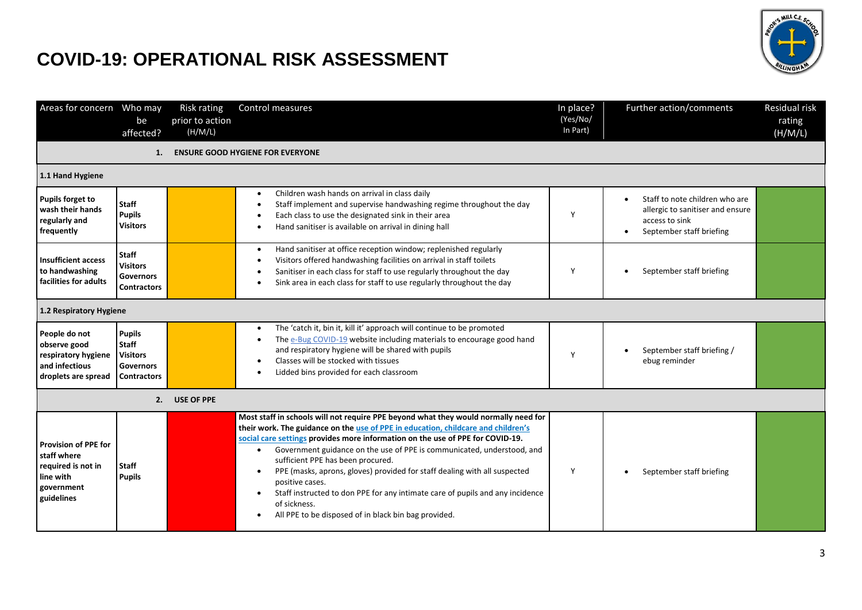

| Areas for concern Who may                                                                                 | be<br>affected?                                                                            | <b>Risk rating</b><br>prior to action<br>(H/M/L) | Control measures                                                                                                                                                                                                                                                                                                                                                                                                                                                                                                                                                                                                                                | In place?<br>(Yes/No/<br>In Part) | Further action/comments                                                                                                       | Residual risk<br>rating<br>(H/M/L) |
|-----------------------------------------------------------------------------------------------------------|--------------------------------------------------------------------------------------------|--------------------------------------------------|-------------------------------------------------------------------------------------------------------------------------------------------------------------------------------------------------------------------------------------------------------------------------------------------------------------------------------------------------------------------------------------------------------------------------------------------------------------------------------------------------------------------------------------------------------------------------------------------------------------------------------------------------|-----------------------------------|-------------------------------------------------------------------------------------------------------------------------------|------------------------------------|
|                                                                                                           | 1.                                                                                         |                                                  | <b>ENSURE GOOD HYGIENE FOR EVERYONE</b>                                                                                                                                                                                                                                                                                                                                                                                                                                                                                                                                                                                                         |                                   |                                                                                                                               |                                    |
| 1.1 Hand Hygiene                                                                                          |                                                                                            |                                                  |                                                                                                                                                                                                                                                                                                                                                                                                                                                                                                                                                                                                                                                 |                                   |                                                                                                                               |                                    |
| Pupils forget to<br>wash their hands<br>regularly and<br>frequently                                       | <b>Staff</b><br><b>Pupils</b><br><b>Visitors</b>                                           |                                                  | Children wash hands on arrival in class daily<br>$\bullet$<br>Staff implement and supervise handwashing regime throughout the day<br>$\bullet$<br>Each class to use the designated sink in their area<br>$\bullet$<br>Hand sanitiser is available on arrival in dining hall<br>$\bullet$                                                                                                                                                                                                                                                                                                                                                        | Y                                 | Staff to note children who are<br>$\bullet$<br>allergic to sanitiser and ensure<br>access to sink<br>September staff briefing |                                    |
| <b>Insufficient access</b><br>to handwashing<br>facilities for adults                                     | <b>Staff</b><br><b>Visitors</b><br><b>Governors</b><br><b>Contractors</b>                  |                                                  | Hand sanitiser at office reception window; replenished regularly<br>$\bullet$<br>Visitors offered handwashing facilities on arrival in staff toilets<br>$\bullet$<br>Sanitiser in each class for staff to use regularly throughout the day<br>$\bullet$<br>Sink area in each class for staff to use regularly throughout the day<br>$\bullet$                                                                                                                                                                                                                                                                                                   | Y                                 | September staff briefing                                                                                                      |                                    |
| 1.2 Respiratory Hygiene                                                                                   |                                                                                            |                                                  |                                                                                                                                                                                                                                                                                                                                                                                                                                                                                                                                                                                                                                                 |                                   |                                                                                                                               |                                    |
| People do not<br>observe good<br>respiratory hygiene<br>and infectious<br>droplets are spread             | <b>Pupils</b><br><b>Staff</b><br><b>Visitors</b><br><b>Governors</b><br><b>Contractors</b> |                                                  | The 'catch it, bin it, kill it' approach will continue to be promoted<br>$\bullet$<br>The e-Bug COVID-19 website including materials to encourage good hand<br>$\bullet$<br>and respiratory hygiene will be shared with pupils<br>Classes will be stocked with tissues<br>$\bullet$<br>Lidded bins provided for each classroom                                                                                                                                                                                                                                                                                                                  | Y                                 | September staff briefing /<br>ebug reminder                                                                                   |                                    |
|                                                                                                           |                                                                                            | 2. USE OF PPE                                    |                                                                                                                                                                                                                                                                                                                                                                                                                                                                                                                                                                                                                                                 |                                   |                                                                                                                               |                                    |
| <b>Provision of PPE for</b><br>staff where<br>required is not in<br>line with<br>government<br>guidelines | <b>Staff</b><br><b>Pupils</b>                                                              |                                                  | Most staff in schools will not require PPE beyond what they would normally need for<br>their work. The guidance on the use of PPE in education, childcare and children's<br>social care settings provides more information on the use of PPE for COVID-19.<br>Government guidance on the use of PPE is communicated, understood, and<br>$\bullet$<br>sufficient PPE has been procured.<br>PPE (masks, aprons, gloves) provided for staff dealing with all suspected<br>positive cases.<br>Staff instructed to don PPE for any intimate care of pupils and any incidence<br>of sickness.<br>All PPE to be disposed of in black bin bag provided. | Y                                 | September staff briefing                                                                                                      |                                    |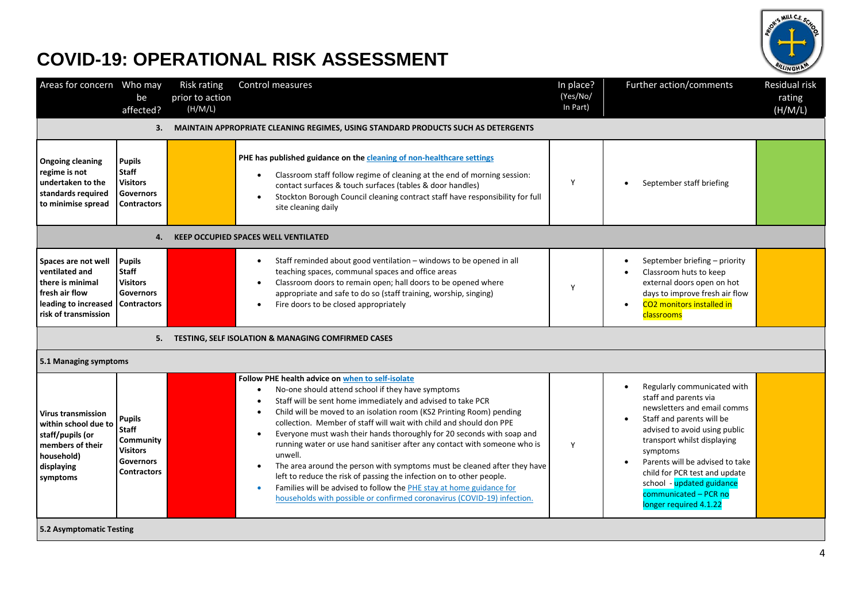

| Areas for concern Who may                                                                                                         | be<br>affected?                                                                                         | <b>Risk rating</b><br>prior to action<br>(H/M/L) | Control measures                                                                                                                                                                                                                                                                                                                                                                                                                                                                                                                                                                                                                                                                                                                                                                                                                    | In place?<br>(Yes/No/<br>In Part) | Further action/comments                                                                                                                                                                                                                                                                                                                                                    | <b>Residual risk</b><br>rating<br>(H/M/L) |
|-----------------------------------------------------------------------------------------------------------------------------------|---------------------------------------------------------------------------------------------------------|--------------------------------------------------|-------------------------------------------------------------------------------------------------------------------------------------------------------------------------------------------------------------------------------------------------------------------------------------------------------------------------------------------------------------------------------------------------------------------------------------------------------------------------------------------------------------------------------------------------------------------------------------------------------------------------------------------------------------------------------------------------------------------------------------------------------------------------------------------------------------------------------------|-----------------------------------|----------------------------------------------------------------------------------------------------------------------------------------------------------------------------------------------------------------------------------------------------------------------------------------------------------------------------------------------------------------------------|-------------------------------------------|
|                                                                                                                                   | 3.                                                                                                      |                                                  | MAINTAIN APPROPRIATE CLEANING REGIMES, USING STANDARD PRODUCTS SUCH AS DETERGENTS                                                                                                                                                                                                                                                                                                                                                                                                                                                                                                                                                                                                                                                                                                                                                   |                                   |                                                                                                                                                                                                                                                                                                                                                                            |                                           |
| <b>Ongoing cleaning</b><br>regime is not<br>undertaken to the<br>standards required<br>to minimise spread                         | <b>Pupils</b><br><b>Staff</b><br><b>Visitors</b><br><b>Governors</b><br><b>Contractors</b>              |                                                  | PHE has published guidance on the cleaning of non-healthcare settings<br>Classroom staff follow regime of cleaning at the end of morning session:<br>٠<br>contact surfaces & touch surfaces (tables & door handles)<br>Stockton Borough Council cleaning contract staff have responsibility for full<br>٠<br>site cleaning daily                                                                                                                                                                                                                                                                                                                                                                                                                                                                                                    | Y                                 | September staff briefing                                                                                                                                                                                                                                                                                                                                                   |                                           |
|                                                                                                                                   | 4.                                                                                                      |                                                  | <b>KEEP OCCUPIED SPACES WELL VENTILATED</b>                                                                                                                                                                                                                                                                                                                                                                                                                                                                                                                                                                                                                                                                                                                                                                                         |                                   |                                                                                                                                                                                                                                                                                                                                                                            |                                           |
| Spaces are not well<br>ventilated and<br>there is minimal<br>fresh air flow<br>leading to increased<br>risk of transmission       | <b>Pupils</b><br><b>Staff</b><br><b>Visitors</b><br><b>Governors</b><br><b>Contractors</b>              |                                                  | Staff reminded about good ventilation - windows to be opened in all<br>٠<br>teaching spaces, communal spaces and office areas<br>Classroom doors to remain open; hall doors to be opened where<br>$\bullet$<br>appropriate and safe to do so (staff training, worship, singing)<br>Fire doors to be closed appropriately<br>$\bullet$                                                                                                                                                                                                                                                                                                                                                                                                                                                                                               | Y                                 | September briefing - priority<br>Classroom huts to keep<br>external doors open on hot<br>days to improve fresh air flow<br>CO2 monitors installed in<br>$\bullet$<br>classrooms                                                                                                                                                                                            |                                           |
|                                                                                                                                   | 5.                                                                                                      |                                                  | TESTING, SELF ISOLATION & MANAGING COMFIRMED CASES                                                                                                                                                                                                                                                                                                                                                                                                                                                                                                                                                                                                                                                                                                                                                                                  |                                   |                                                                                                                                                                                                                                                                                                                                                                            |                                           |
| 5.1 Managing symptoms                                                                                                             |                                                                                                         |                                                  |                                                                                                                                                                                                                                                                                                                                                                                                                                                                                                                                                                                                                                                                                                                                                                                                                                     |                                   |                                                                                                                                                                                                                                                                                                                                                                            |                                           |
| <b>Virus transmission</b><br>within school due to<br>staff/pupils (or<br>members of their<br>household)<br>displaying<br>symptoms | <b>Pupils</b><br><b>Staff</b><br>Community<br><b>Visitors</b><br><b>Governors</b><br><b>Contractors</b> |                                                  | Follow PHE health advice on when to self-isolate<br>No-one should attend school if they have symptoms<br>$\bullet$<br>Staff will be sent home immediately and advised to take PCR<br>Child will be moved to an isolation room (KS2 Printing Room) pending<br>$\bullet$<br>collection. Member of staff will wait with child and should don PPE<br>Everyone must wash their hands thoroughly for 20 seconds with soap and<br>running water or use hand sanitiser after any contact with someone who is<br>unwell.<br>The area around the person with symptoms must be cleaned after they have<br>$\bullet$<br>left to reduce the risk of passing the infection on to other people.<br>Families will be advised to follow the PHE stay at home guidance for<br>households with possible or confirmed coronavirus (COVID-19) infection. | Y                                 | Regularly communicated with<br>staff and parents via<br>newsletters and email comms<br>Staff and parents will be<br>$\bullet$<br>advised to avoid using public<br>transport whilst displaying<br>symptoms<br>Parents will be advised to take<br>$\bullet$<br>child for PCR test and update<br>school - updated guidance<br>communicated - PCR no<br>longer required 4.1.22 |                                           |

**5.2 Asymptomatic Testing**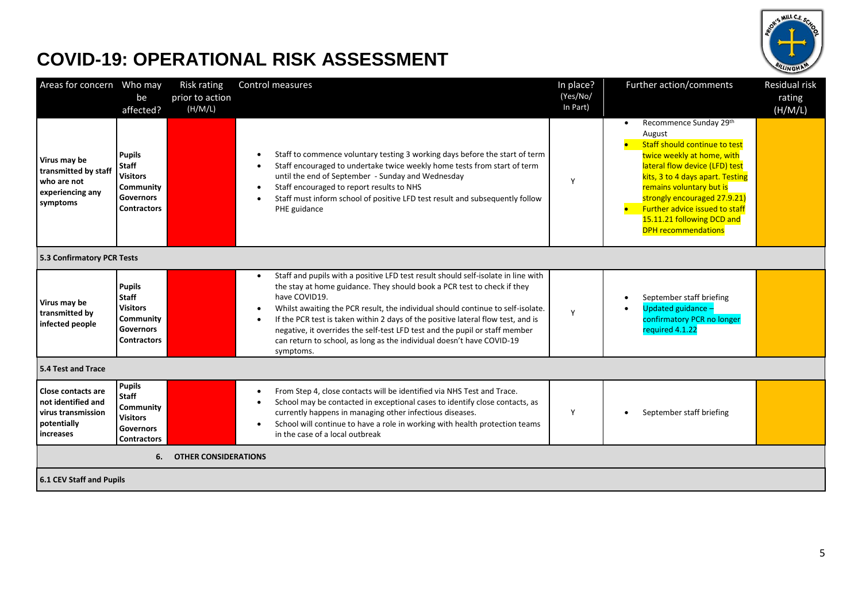

| Areas for concern Who may                                                                         | be<br>affected?                                                                                         | <b>Risk rating</b><br>prior to action<br>(H/M/L) | Control measures                                                                                                                                                                                                                                                                                                                                                                                                                                                                                                                       | In place?<br>(Yes/No/<br>In Part) | Further action/comments                                                                                                                                                                                                                                                                                                                             | Residual risk<br>rating<br>(H/M/L) |
|---------------------------------------------------------------------------------------------------|---------------------------------------------------------------------------------------------------------|--------------------------------------------------|----------------------------------------------------------------------------------------------------------------------------------------------------------------------------------------------------------------------------------------------------------------------------------------------------------------------------------------------------------------------------------------------------------------------------------------------------------------------------------------------------------------------------------------|-----------------------------------|-----------------------------------------------------------------------------------------------------------------------------------------------------------------------------------------------------------------------------------------------------------------------------------------------------------------------------------------------------|------------------------------------|
| Virus may be<br>transmitted by staff<br>who are not<br>experiencing any<br>symptoms               | <b>Pupils</b><br>Staff<br><b>Visitors</b><br>Community<br><b>Governors</b><br><b>Contractors</b>        |                                                  | Staff to commence voluntary testing 3 working days before the start of term<br>Staff encouraged to undertake twice weekly home tests from start of term<br>until the end of September - Sunday and Wednesday<br>Staff encouraged to report results to NHS<br>Staff must inform school of positive LFD test result and subsequently follow<br>PHE guidance                                                                                                                                                                              | Y                                 | Recommence Sunday 29th<br>$\bullet$<br>August<br>Staff should continue to test<br>twice weekly at home, with<br>lateral flow device (LFD) test<br>kits, 3 to 4 days apart. Testing<br>remains voluntary but is<br>strongly encouraged 27.9.21)<br><b>Further advice issued to staff</b><br>15.11.21 following DCD and<br><b>DPH recommendations</b> |                                    |
| 5.3 Confirmatory PCR Tests                                                                        |                                                                                                         |                                                  |                                                                                                                                                                                                                                                                                                                                                                                                                                                                                                                                        |                                   |                                                                                                                                                                                                                                                                                                                                                     |                                    |
| Virus may be<br>transmitted by<br>infected people                                                 | <b>Pupils</b><br><b>Staff</b><br><b>Visitors</b><br>Community<br><b>Governors</b><br><b>Contractors</b> |                                                  | Staff and pupils with a positive LFD test result should self-isolate in line with<br>$\bullet$<br>the stay at home guidance. They should book a PCR test to check if they<br>have COVID19.<br>Whilst awaiting the PCR result, the individual should continue to self-isolate.<br>If the PCR test is taken within 2 days of the positive lateral flow test, and is<br>negative, it overrides the self-test LFD test and the pupil or staff member<br>can return to school, as long as the individual doesn't have COVID-19<br>symptoms. |                                   | September staff briefing<br>Updated guidance -<br>confirmatory PCR no longer<br>required 4.1.22                                                                                                                                                                                                                                                     |                                    |
| 5.4 Test and Trace                                                                                |                                                                                                         |                                                  |                                                                                                                                                                                                                                                                                                                                                                                                                                                                                                                                        |                                   |                                                                                                                                                                                                                                                                                                                                                     |                                    |
| <b>Close contacts are</b><br>not identified and<br>virus transmission<br>potentially<br>increases | <b>Pupils</b><br><b>Staff</b><br>Community<br><b>Visitors</b><br><b>Governors</b><br><b>Contractors</b> |                                                  | From Step 4, close contacts will be identified via NHS Test and Trace.<br>School may be contacted in exceptional cases to identify close contacts, as<br>currently happens in managing other infectious diseases.<br>School will continue to have a role in working with health protection teams<br>in the case of a local outbreak                                                                                                                                                                                                    | Y                                 | September staff briefing                                                                                                                                                                                                                                                                                                                            |                                    |
|                                                                                                   | 6.                                                                                                      | <b>OTHER CONSIDERATIONS</b>                      |                                                                                                                                                                                                                                                                                                                                                                                                                                                                                                                                        |                                   |                                                                                                                                                                                                                                                                                                                                                     |                                    |
| <b>6.1 CEV Staff and Pupils</b>                                                                   |                                                                                                         |                                                  |                                                                                                                                                                                                                                                                                                                                                                                                                                                                                                                                        |                                   |                                                                                                                                                                                                                                                                                                                                                     |                                    |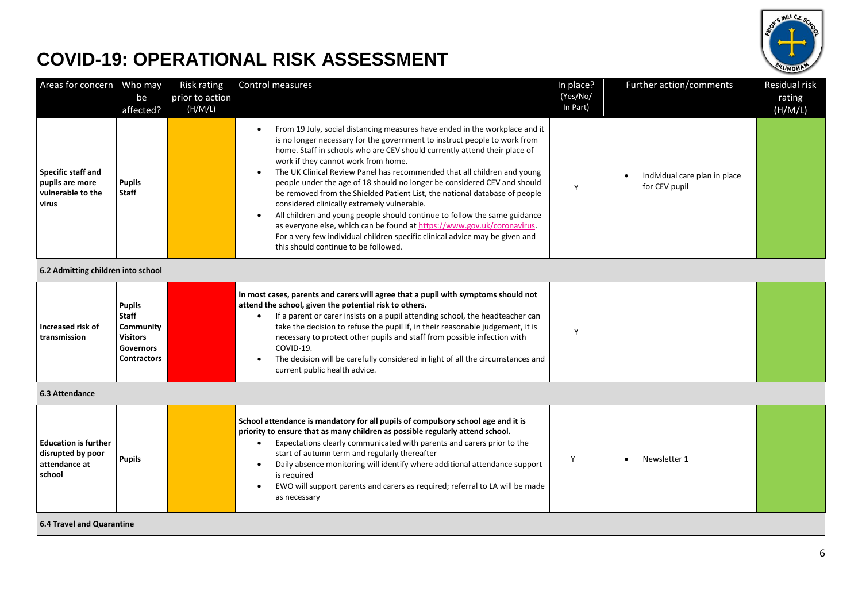

| Areas for concern Who may                                                   | be<br>affected?                                                                                  | <b>Risk rating</b><br>prior to action<br>(H/M/L) | Control measures                                                                                                                                                                                                                                                                                                                                                                                                                                                                                                                                                                                                                                                                                                                                                                                                                                                                         | In place?<br>(Yes/No/<br>In Part) | Further action/comments                        | Residual risk<br>rating<br>(H/M/L) |
|-----------------------------------------------------------------------------|--------------------------------------------------------------------------------------------------|--------------------------------------------------|------------------------------------------------------------------------------------------------------------------------------------------------------------------------------------------------------------------------------------------------------------------------------------------------------------------------------------------------------------------------------------------------------------------------------------------------------------------------------------------------------------------------------------------------------------------------------------------------------------------------------------------------------------------------------------------------------------------------------------------------------------------------------------------------------------------------------------------------------------------------------------------|-----------------------------------|------------------------------------------------|------------------------------------|
| <b>Specific staff and</b><br>pupils are more<br>vulnerable to the<br>virus  | <b>Pupils</b><br><b>Staff</b>                                                                    |                                                  | From 19 July, social distancing measures have ended in the workplace and it<br>$\bullet$<br>is no longer necessary for the government to instruct people to work from<br>home. Staff in schools who are CEV should currently attend their place of<br>work if they cannot work from home.<br>The UK Clinical Review Panel has recommended that all children and young<br>$\bullet$<br>people under the age of 18 should no longer be considered CEV and should<br>be removed from the Shielded Patient List, the national database of people<br>considered clinically extremely vulnerable.<br>All children and young people should continue to follow the same guidance<br>$\bullet$<br>as everyone else, which can be found at https://www.gov.uk/coronavirus.<br>For a very few individual children specific clinical advice may be given and<br>this should continue to be followed. | Y                                 | Individual care plan in place<br>for CEV pupil |                                    |
| 6.2 Admitting children into school                                          |                                                                                                  |                                                  |                                                                                                                                                                                                                                                                                                                                                                                                                                                                                                                                                                                                                                                                                                                                                                                                                                                                                          |                                   |                                                |                                    |
| Increased risk of<br>transmission                                           | <b>Pupils</b><br>Staff<br>Community<br><b>Visitors</b><br><b>Governors</b><br><b>Contractors</b> |                                                  | In most cases, parents and carers will agree that a pupil with symptoms should not<br>attend the school, given the potential risk to others.<br>If a parent or carer insists on a pupil attending school, the headteacher can<br>take the decision to refuse the pupil if, in their reasonable judgement, it is<br>necessary to protect other pupils and staff from possible infection with<br>COVID-19.<br>The decision will be carefully considered in light of all the circumstances and<br>current public health advice.                                                                                                                                                                                                                                                                                                                                                             | Y                                 |                                                |                                    |
| 6.3 Attendance                                                              |                                                                                                  |                                                  |                                                                                                                                                                                                                                                                                                                                                                                                                                                                                                                                                                                                                                                                                                                                                                                                                                                                                          |                                   |                                                |                                    |
| <b>Education is further</b><br>disrupted by poor<br>attendance at<br>school | <b>Pupils</b>                                                                                    |                                                  | School attendance is mandatory for all pupils of compulsory school age and it is<br>priority to ensure that as many children as possible regularly attend school.<br>Expectations clearly communicated with parents and carers prior to the<br>$\bullet$<br>start of autumn term and regularly thereafter<br>Daily absence monitoring will identify where additional attendance support<br>$\bullet$<br>is required<br>EWO will support parents and carers as required; referral to LA will be made<br>$\bullet$<br>as necessary                                                                                                                                                                                                                                                                                                                                                         | Y                                 | Newsletter 1                                   |                                    |
| 6.4 Travel and Quarantine                                                   |                                                                                                  |                                                  |                                                                                                                                                                                                                                                                                                                                                                                                                                                                                                                                                                                                                                                                                                                                                                                                                                                                                          |                                   |                                                |                                    |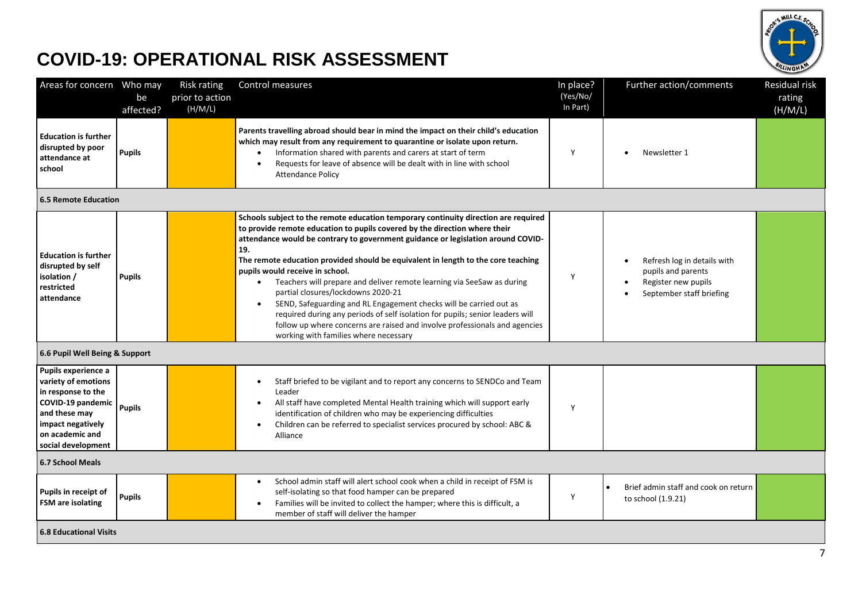

| Areas for concern Who may                                                                                                                                            | be<br>affected? | <b>Risk rating</b><br>prior to action<br>(H/M/L) | Control measures                                                                                                                                                                                                                                                                                                                                                                                                                                                                                                                                                                                                                                                                                                                                                                                             | In place?<br>(Yes/No/<br>In Part) | Further action/comments                                                                                           | Residual risk<br>rating<br>(H/M/L) |
|----------------------------------------------------------------------------------------------------------------------------------------------------------------------|-----------------|--------------------------------------------------|--------------------------------------------------------------------------------------------------------------------------------------------------------------------------------------------------------------------------------------------------------------------------------------------------------------------------------------------------------------------------------------------------------------------------------------------------------------------------------------------------------------------------------------------------------------------------------------------------------------------------------------------------------------------------------------------------------------------------------------------------------------------------------------------------------------|-----------------------------------|-------------------------------------------------------------------------------------------------------------------|------------------------------------|
| <b>Education is further</b><br>disrupted by poor<br>attendance at<br>school                                                                                          | <b>Pupils</b>   |                                                  | Parents travelling abroad should bear in mind the impact on their child's education<br>which may result from any requirement to quarantine or isolate upon return.<br>Information shared with parents and carers at start of term<br>$\bullet$<br>Requests for leave of absence will be dealt with in line with school<br><b>Attendance Policy</b>                                                                                                                                                                                                                                                                                                                                                                                                                                                           | Y                                 | Newsletter 1                                                                                                      |                                    |
| <b>6.5 Remote Education</b>                                                                                                                                          |                 |                                                  |                                                                                                                                                                                                                                                                                                                                                                                                                                                                                                                                                                                                                                                                                                                                                                                                              |                                   |                                                                                                                   |                                    |
| <b>Education is further</b><br>disrupted by self<br>isolation /<br>restricted<br>attendance                                                                          | <b>Pupils</b>   |                                                  | Schools subject to the remote education temporary continuity direction are required<br>to provide remote education to pupils covered by the direction where their<br>attendance would be contrary to government guidance or legislation around COVID-<br>19.<br>The remote education provided should be equivalent in length to the core teaching<br>pupils would receive in school.<br>Teachers will prepare and deliver remote learning via SeeSaw as during<br>$\bullet$<br>partial closures/lockdowns 2020-21<br>SEND, Safeguarding and RL Engagement checks will be carried out as<br>$\bullet$<br>required during any periods of self isolation for pupils; senior leaders will<br>follow up where concerns are raised and involve professionals and agencies<br>working with families where necessary | Y                                 | Refresh log in details with<br>pupils and parents<br>Register new pupils<br>September staff briefing<br>$\bullet$ |                                    |
| 6.6 Pupil Well Being & Support                                                                                                                                       |                 |                                                  |                                                                                                                                                                                                                                                                                                                                                                                                                                                                                                                                                                                                                                                                                                                                                                                                              |                                   |                                                                                                                   |                                    |
| Pupils experience a<br>variety of emotions<br>in response to the<br>COVID-19 pandemic<br>and these may<br>impact negatively<br>on academic and<br>social development | <b>Pupils</b>   |                                                  | Staff briefed to be vigilant and to report any concerns to SENDCo and Team<br>$\bullet$<br>Leader<br>All staff have completed Mental Health training which will support early<br>٠<br>identification of children who may be experiencing difficulties<br>Children can be referred to specialist services procured by school: ABC &<br>Alliance                                                                                                                                                                                                                                                                                                                                                                                                                                                               | Y                                 |                                                                                                                   |                                    |
| 6.7 School Meals                                                                                                                                                     |                 |                                                  |                                                                                                                                                                                                                                                                                                                                                                                                                                                                                                                                                                                                                                                                                                                                                                                                              |                                   |                                                                                                                   |                                    |
| Pupils in receipt of<br>FSM are isolating                                                                                                                            | <b>Pupils</b>   |                                                  | School admin staff will alert school cook when a child in receipt of FSM is<br>self-isolating so that food hamper can be prepared<br>Families will be invited to collect the hamper; where this is difficult, a<br>member of staff will deliver the hamper                                                                                                                                                                                                                                                                                                                                                                                                                                                                                                                                                   | Υ                                 | Brief admin staff and cook on return<br>to school (1.9.21)                                                        |                                    |
| <b>6.8 Educational Visits</b>                                                                                                                                        |                 |                                                  |                                                                                                                                                                                                                                                                                                                                                                                                                                                                                                                                                                                                                                                                                                                                                                                                              |                                   |                                                                                                                   |                                    |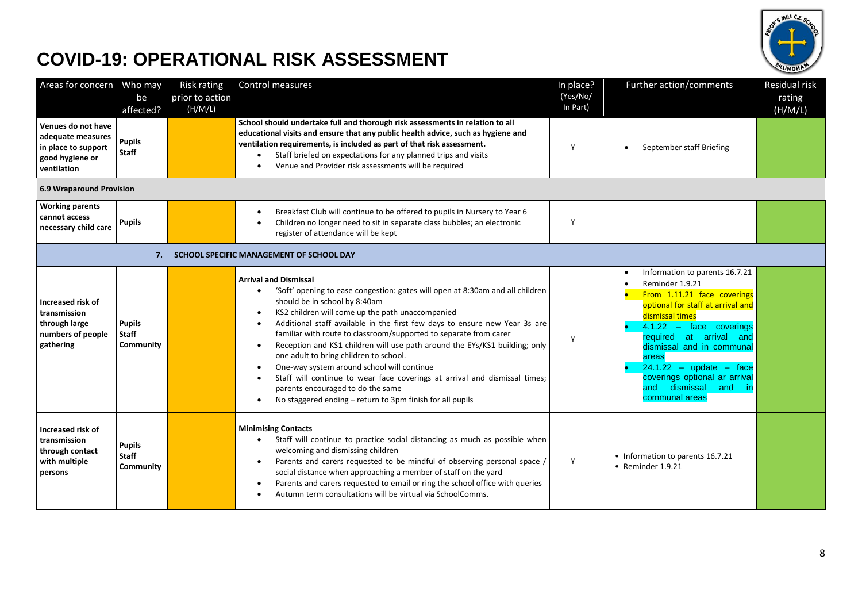

| Areas for concern Who may                                                                        | be<br>affected?                            | Risk rating<br>prior to action<br>(H/M/L) | Control measures                                                                                                                                                                                                                                                                                                                                                                                                                                                                                                                                                                                                                                                                                                                                                | In place?<br>(Yes/No/<br>In Part) | Further action/comments                                                                                                                                                                                                                                                                                                                                                   | Residual risk<br>rating<br>(H/M/L) |
|--------------------------------------------------------------------------------------------------|--------------------------------------------|-------------------------------------------|-----------------------------------------------------------------------------------------------------------------------------------------------------------------------------------------------------------------------------------------------------------------------------------------------------------------------------------------------------------------------------------------------------------------------------------------------------------------------------------------------------------------------------------------------------------------------------------------------------------------------------------------------------------------------------------------------------------------------------------------------------------------|-----------------------------------|---------------------------------------------------------------------------------------------------------------------------------------------------------------------------------------------------------------------------------------------------------------------------------------------------------------------------------------------------------------------------|------------------------------------|
| Venues do not have<br>adequate measures<br>in place to support<br>good hygiene or<br>ventilation | <b>Pupils</b><br>Staff                     |                                           | School should undertake full and thorough risk assessments in relation to all<br>educational visits and ensure that any public health advice, such as hygiene and<br>ventilation requirements, is included as part of that risk assessment.<br>Staff briefed on expectations for any planned trips and visits<br>Venue and Provider risk assessments will be required<br>$\bullet$                                                                                                                                                                                                                                                                                                                                                                              | Y                                 | September staff Briefing                                                                                                                                                                                                                                                                                                                                                  |                                    |
| <b>6.9 Wraparound Provision</b>                                                                  |                                            |                                           |                                                                                                                                                                                                                                                                                                                                                                                                                                                                                                                                                                                                                                                                                                                                                                 |                                   |                                                                                                                                                                                                                                                                                                                                                                           |                                    |
| <b>Working parents</b><br>cannot access<br>necessary child care                                  | <b>Pupils</b>                              |                                           | Breakfast Club will continue to be offered to pupils in Nursery to Year 6<br>$\bullet$<br>Children no longer need to sit in separate class bubbles; an electronic<br>$\bullet$<br>register of attendance will be kept                                                                                                                                                                                                                                                                                                                                                                                                                                                                                                                                           | Y                                 |                                                                                                                                                                                                                                                                                                                                                                           |                                    |
|                                                                                                  | 7.                                         |                                           | SCHOOL SPECIFIC MANAGEMENT OF SCHOOL DAY                                                                                                                                                                                                                                                                                                                                                                                                                                                                                                                                                                                                                                                                                                                        |                                   |                                                                                                                                                                                                                                                                                                                                                                           |                                    |
| Increased risk of<br>transmission<br>through large<br>numbers of people<br>gathering             | <b>Pupils</b><br><b>Staff</b><br>Community |                                           | <b>Arrival and Dismissal</b><br>'Soft' opening to ease congestion: gates will open at 8:30am and all children<br>should be in school by 8:40am<br>KS2 children will come up the path unaccompanied<br>$\bullet$<br>Additional staff available in the first few days to ensure new Year 3s are<br>$\bullet$<br>familiar with route to classroom/supported to separate from carer<br>Reception and KS1 children will use path around the EYs/KS1 building; only<br>$\bullet$<br>one adult to bring children to school.<br>One-way system around school will continue<br>Staff will continue to wear face coverings at arrival and dismissal times;<br>parents encouraged to do the same<br>No staggered ending – return to 3pm finish for all pupils<br>$\bullet$ | Y                                 | Information to parents 16.7.21<br>Reminder 1.9.21<br>From 1.11.21 face coverings<br>optional for staff at arrival and<br>dismissal times<br>$4.1.22 - \text{face}$ coverings<br>at<br>required<br>arrival<br>and<br>dismissal and in communal<br>areas<br>$24.1.22 - update - face$<br>coverings optional ar arrival<br>dismissal<br>and<br>andl<br>-in<br>communal areas |                                    |
| Increased risk of<br>transmission<br>through contact<br>with multiple<br>persons                 | <b>Pupils</b><br><b>Staff</b><br>Community |                                           | <b>Minimising Contacts</b><br>Staff will continue to practice social distancing as much as possible when<br>$\bullet$<br>welcoming and dismissing children<br>Parents and carers requested to be mindful of observing personal space /<br>$\bullet$<br>social distance when approaching a member of staff on the yard<br>Parents and carers requested to email or ring the school office with queries<br>Autumn term consultations will be virtual via SchoolComms.                                                                                                                                                                                                                                                                                             | Y                                 | • Information to parents 16.7.21<br>$\bullet$ Reminder 1.9.21                                                                                                                                                                                                                                                                                                             |                                    |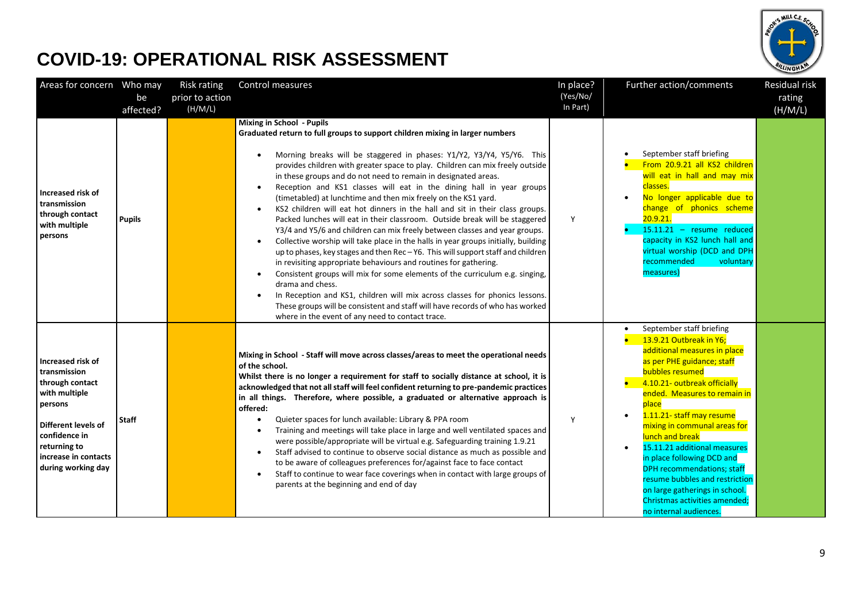

| Areas for concern Who may                                                                                                                                                              |                            | <b>Risk rating</b> | Control measures                                                                                                                                                                                                                                                                                                                                                                                                                                                                                                                                                                                                                                                                                                                                                                                                                                                                                                                                                                                                                                                                                                                                                                                                                                                                                                                                                         | In place?     | Further action/comments                                                                                                                                                                                                                                                                                                                                                                                                                                                                                                                                               | Residual risk |
|----------------------------------------------------------------------------------------------------------------------------------------------------------------------------------------|----------------------------|--------------------|--------------------------------------------------------------------------------------------------------------------------------------------------------------------------------------------------------------------------------------------------------------------------------------------------------------------------------------------------------------------------------------------------------------------------------------------------------------------------------------------------------------------------------------------------------------------------------------------------------------------------------------------------------------------------------------------------------------------------------------------------------------------------------------------------------------------------------------------------------------------------------------------------------------------------------------------------------------------------------------------------------------------------------------------------------------------------------------------------------------------------------------------------------------------------------------------------------------------------------------------------------------------------------------------------------------------------------------------------------------------------|---------------|-----------------------------------------------------------------------------------------------------------------------------------------------------------------------------------------------------------------------------------------------------------------------------------------------------------------------------------------------------------------------------------------------------------------------------------------------------------------------------------------------------------------------------------------------------------------------|---------------|
|                                                                                                                                                                                        | be                         | prior to action    |                                                                                                                                                                                                                                                                                                                                                                                                                                                                                                                                                                                                                                                                                                                                                                                                                                                                                                                                                                                                                                                                                                                                                                                                                                                                                                                                                                          | (Yes/No/      |                                                                                                                                                                                                                                                                                                                                                                                                                                                                                                                                                                       | rating        |
| Increased risk of<br>transmission<br>through contact<br>with multiple<br>persons                                                                                                       | affected?<br><b>Pupils</b> | (H/M/L)            | <b>Mixing in School - Pupils</b><br>Graduated return to full groups to support children mixing in larger numbers<br>Morning breaks will be staggered in phases: Y1/Y2, Y3/Y4, Y5/Y6. This<br>$\bullet$<br>provides children with greater space to play. Children can mix freely outside<br>in these groups and do not need to remain in designated areas.<br>Reception and KS1 classes will eat in the dining hall in year groups<br>$\bullet$<br>(timetabled) at lunchtime and then mix freely on the KS1 yard.<br>KS2 children will eat hot dinners in the hall and sit in their class groups.<br>$\bullet$<br>Packed lunches will eat in their classroom. Outside break will be staggered<br>Y3/4 and Y5/6 and children can mix freely between classes and year groups.<br>Collective worship will take place in the halls in year groups initially, building<br>$\bullet$<br>up to phases, key stages and then Rec-Y6. This will support staff and children<br>in revisiting appropriate behaviours and routines for gathering.<br>Consistent groups will mix for some elements of the curriculum e.g. singing,<br>$\bullet$<br>drama and chess.<br>In Reception and KS1, children will mix across classes for phonics lessons.<br>These groups will be consistent and staff will have records of who has worked<br>where in the event of any need to contact trace. | In Part)<br>Y | September staff briefing<br>From 20.9.21 all KS2 children<br>will eat in hall and may mix<br>classes.<br>No longer applicable due to<br>$\bullet$<br>change of phonics scheme<br>20.9.21.<br>$15.11.21$ - resume reduced<br>capacity in KS2 lunch hall and<br>virtual worship (DCD and DPH<br>recommended<br>voluntary<br>measures)                                                                                                                                                                                                                                   | (H/M/L)       |
| Increased risk of<br>transmission<br>through contact<br>with multiple<br>persons<br>Different levels of<br>confidence in<br>returning to<br>increase in contacts<br>during working day | <b>Staff</b>               |                    | Mixing in School - Staff will move across classes/areas to meet the operational needs<br>of the school.<br>Whilst there is no longer a requirement for staff to socially distance at school, it is<br>acknowledged that not all staff will feel confident returning to pre-pandemic practices<br>in all things. Therefore, where possible, a graduated or alternative approach is<br>offered:<br>Quieter spaces for lunch available: Library & PPA room<br>$\bullet$<br>Training and meetings will take place in large and well ventilated spaces and<br>$\bullet$<br>were possible/appropriate will be virtual e.g. Safeguarding training 1.9.21<br>Staff advised to continue to observe social distance as much as possible and<br>$\bullet$<br>to be aware of colleagues preferences for/against face to face contact<br>Staff to continue to wear face coverings when in contact with large groups of<br>$\bullet$<br>parents at the beginning and end of day                                                                                                                                                                                                                                                                                                                                                                                                        | Y             | September staff briefing<br>$\bullet$<br>13.9.21 Outbreak in Y6;<br>additional measures in place<br>as per PHE guidance; staff<br>bubbles resumed<br>4.10.21- outbreak officially<br>ended. Measures to remain in<br>place<br>1.11.21- staff may resume<br>$\bullet$<br>mixing in communal areas for<br>lunch and break<br>15.11.21 additional measures<br>$\bullet$<br>in place following DCD and<br><b>DPH recommendations; staff</b><br>resume bubbles and restriction<br>on large gatherings in school.<br>Christmas activities amended;<br>no internal audiences |               |